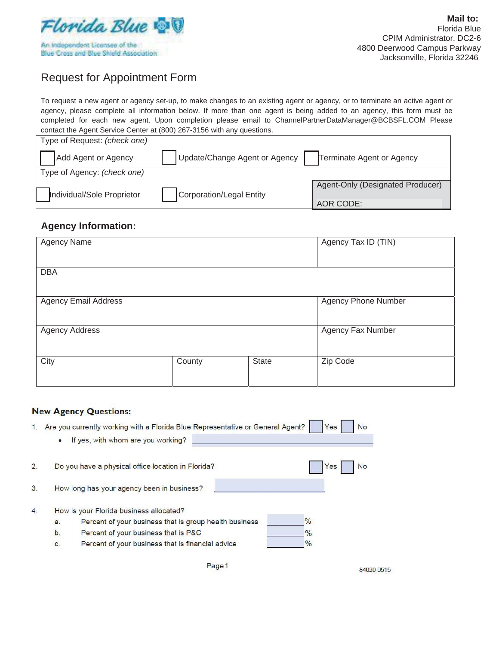

# Request for Appointment Form

To request a new agent or agency set-up, to make changes to an existing agent or agency, or to terminate an active agent or agency, please complete all information below. If more than one agent is being added to an agency, this form must be completed for each new agent. Upon completion please email to ChannelPartnerDataManager@BCBSFL.COM Please contact the Agent Service Center at (800) 267-3156 with any questions.

| Type of Request: (check one) |                               |                                  |
|------------------------------|-------------------------------|----------------------------------|
| Add Agent or Agency          | Update/Change Agent or Agency | Terminate Agent or Agency        |
| Type of Agency: (check one)  |                               |                                  |
|                              |                               | Agent-Only (Designated Producer) |
| Individual/Sole Proprietor   | Corporation/Legal Entity      |                                  |
|                              |                               | AOR CODE:                        |

### **Agency Information:**

| Agency Name                 |        |              | Agency Tax ID (TIN) |
|-----------------------------|--------|--------------|---------------------|
| <b>DBA</b>                  |        |              |                     |
| <b>Agency Email Address</b> |        |              | Agency Phone Number |
| <b>Agency Address</b>       |        |              | Agency Fax Number   |
| City                        | County | <b>State</b> | Zip Code            |

#### **New Agency Questions:**

| 1. | ٠  | Are you currently working with a Florida Blue Representative or General Agent?<br>If yes, with whom are you working? | Yes<br>No     |
|----|----|----------------------------------------------------------------------------------------------------------------------|---------------|
| 2. |    | Do you have a physical office location in Florida?                                                                   | Yes<br>No     |
| 3. |    | How long has your agency been in business?                                                                           |               |
| 4. |    | How is your Florida business allocated?                                                                              |               |
|    | a. | Percent of your business that is group health business                                                               | $\frac{0}{0}$ |
|    | b. | Percent of your business that is P&C                                                                                 | $\frac{0}{0}$ |
|    | c. | Percent of your business that is financial advice                                                                    | $\frac{0}{0}$ |

84020 0515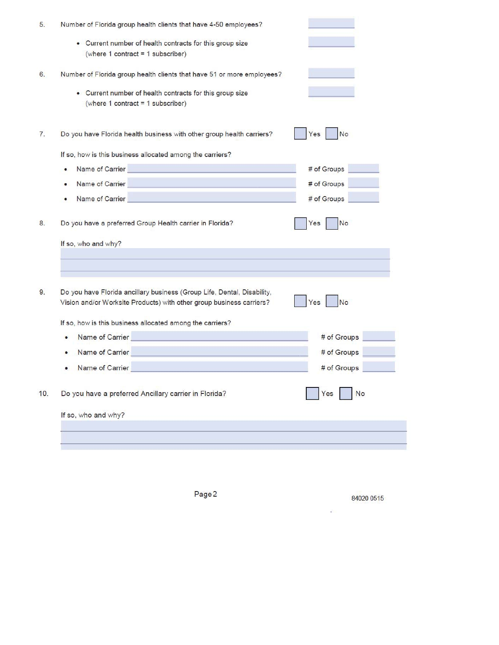| Number of Florida group health clients that have 4-50 employees?                                                                                |                  |
|-------------------------------------------------------------------------------------------------------------------------------------------------|------------------|
| • Current number of health contracts for this group size<br>(where 1 contract = 1 subscriber)                                                   |                  |
| Number of Florida group health clients that have 51 or more employees?                                                                          |                  |
| • Current number of health contracts for this group size<br>(where 1 contract = 1 subscriber)                                                   |                  |
| Do you have Florida health business with other group health carriers?                                                                           | No<br>Yes        |
| If so, how is this business allocated among the carriers?                                                                                       |                  |
| <u>a sa salah sahiji désa di kacamatan </u><br>Name of Carrier                                                                                  | # of Groups      |
| Name of Carrier                                                                                                                                 | # of Groups      |
| Name of Carrier                                                                                                                                 | # of Groups      |
| Do you have a preferred Group Health carrier in Florida?                                                                                        | No<br>Yes        |
| If so, who and why?                                                                                                                             |                  |
|                                                                                                                                                 |                  |
| Do you have Florida ancillary business (Group Life, Dental, Disability,<br>Vision and/or Worksite Products) with other group business carriers? | <b>No</b><br>Yes |
| If so, how is this business allocated among the carriers?                                                                                       |                  |
| the control of the control of the control of<br>Name of Carrier                                                                                 | # of Groups      |
| Name of Carrier                                                                                                                                 | # of Groups      |
| Name of Carrier                                                                                                                                 | # of Groups      |
| Do you have a preferred Ancillary carrier in Florida?                                                                                           | No<br>Yes        |
| If so, who and why?                                                                                                                             |                  |
|                                                                                                                                                 |                  |

Page<sub>2</sub> 84020 0515  $\mathcal{L}^{\mathcal{L}}$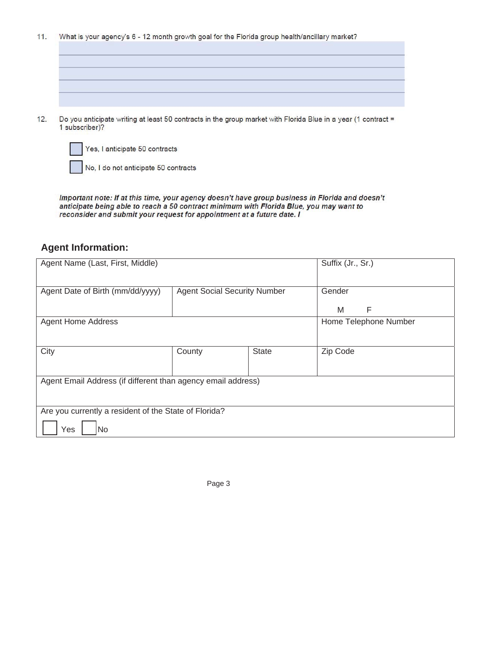$11.$ What is your agency's 6 - 12 month growth goal for the Florida group health/ancillary market?

 $12.$ Do you anticipate writing at least 50 contracts in the group market with Florida Blue in a year (1 contract = 1 subscriber)?



Yes, I anticipate 50 contracts

No, I do not anticipate 50 contracts

Important note: If at this time, your agency doesn't have group business in Florida and doesn't anticipate being able to reach a 50 contract minimum with Florida Blue, you may want to reconsider and submit your request for appointment at a future date. I

#### **Agent Information:**

| Agent Name (Last, First, Middle)                             |                                     |              | Suffix (Jr., Sr.)     |
|--------------------------------------------------------------|-------------------------------------|--------------|-----------------------|
| Agent Date of Birth (mm/dd/yyyy)                             | <b>Agent Social Security Number</b> |              | Gender                |
|                                                              |                                     |              | F<br>M                |
| <b>Agent Home Address</b>                                    |                                     |              | Home Telephone Number |
|                                                              |                                     |              |                       |
| City                                                         | County                              | <b>State</b> | Zip Code              |
|                                                              |                                     |              |                       |
| Agent Email Address (if different than agency email address) |                                     |              |                       |
|                                                              |                                     |              |                       |
| Are you currently a resident of the State of Florida?        |                                     |              |                       |
| Yes<br>No                                                    |                                     |              |                       |

Page 3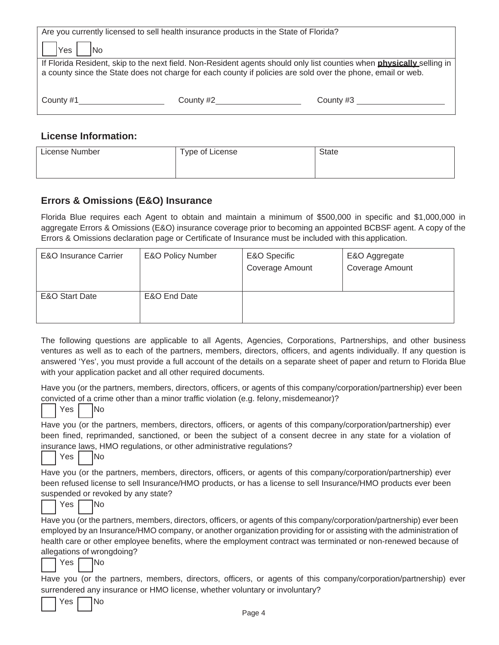|              | Are you currently licensed to sell health insurance products in the State of Florida?                       |                                                                                                                              |  |  |
|--------------|-------------------------------------------------------------------------------------------------------------|------------------------------------------------------------------------------------------------------------------------------|--|--|
| Yes  <br> No |                                                                                                             |                                                                                                                              |  |  |
|              |                                                                                                             | If Florida Resident, skip to the next field. Non-Resident agents should only list counties when <b>physically</b> selling in |  |  |
|              | a county since the State does not charge for each county if policies are sold over the phone, email or web. |                                                                                                                              |  |  |
|              |                                                                                                             |                                                                                                                              |  |  |
| County #1    |                                                                                                             | County $#3$                                                                                                                  |  |  |
|              |                                                                                                             |                                                                                                                              |  |  |
|              |                                                                                                             |                                                                                                                              |  |  |

#### **License Information:**

| License Number | Type of License | <b>State</b> |
|----------------|-----------------|--------------|
|                |                 |              |

## **Errors & Omissions (E&O) Insurance**

Florida Blue requires each Agent to obtain and maintain a minimum of \$500,000 in specific and \$1,000,000 in aggregate Errors & Omissions (E&O) insurance coverage prior to becoming an appointed BCBSF agent. A copy of the Errors & Omissions declaration page or Certificate of Insurance must be included with this application.

| <b>E&amp;O Insurance Carrier</b> | <b>E&amp;O Policy Number</b> | E&O Specific<br>Coverage Amount | E&O Aggregate<br>Coverage Amount |
|----------------------------------|------------------------------|---------------------------------|----------------------------------|
| E&O Start Date                   | E&O End Date                 |                                 |                                  |

The following questions are applicable to all Agents, Agencies, Corporations, Partnerships, and other business ventures as well as to each of the partners, members, directors, officers, and agents individually. If any question is answered 'Yes', you must provide a full account of the details on a separate sheet of paper and return to Florida Blue with your application packet and all other required documents.

Have you (or the partners, members, directors, officers, or agents of this company/corporation/partnership) ever been convicted of a crime other than a minor traffic violation (e.g. felony, misdemeanor)?

| $\overline{\phantom{a}}$                                                                                         |
|------------------------------------------------------------------------------------------------------------------|
| Have you (or the partners, members, directors, officers, or agents of this company/corporation/partnership) ever |
| been fined, reprimanded, sanctioned, or been the subject of a consent decree in any state for a violation of     |
| insurance laws, HMO regulations, or other administrative regulations?                                            |

|  | Yes |  | lNo |
|--|-----|--|-----|
|--|-----|--|-----|

Yes | No

Have you (or the partners, members, directors, officers, or agents of this company/corporation/partnership) ever been refused license to sell Insurance/HMO products, or has a license to sell Insurance/HMO products ever been suspended or revoked by any state?

|  | AS |  | INo |
|--|----|--|-----|
|--|----|--|-----|

Have you (or the partners, members, directors, officers, or agents of this company/corporation/partnership) ever been employed by an Insurance/HMO company, or another organization providing for or assisting with the administration of health care or other employee benefits, where the employment contract was terminated or non-renewed because of allegations of wrongdoing?

| Yes | lNo |
|-----|-----|
|     |     |

 $\overline{\textsf{No}}$ 

Have you (or the partners, members, directors, officers, or agents of this company/corporation/partnership) ever surrendered any insurance or HMO license, whether voluntary or involuntary?

|--|--|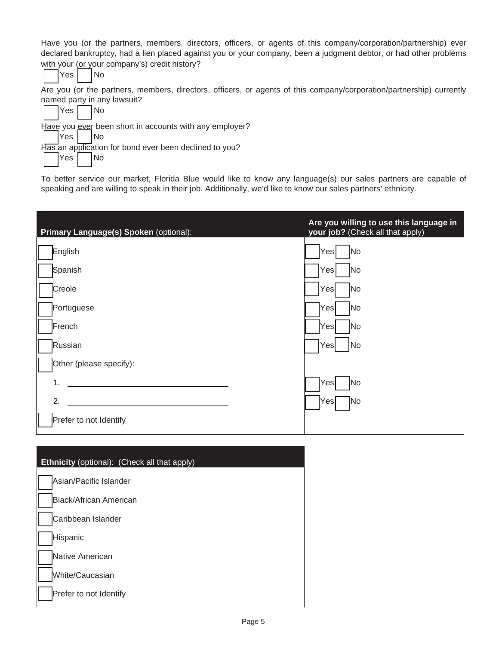Have you (or the partners, members, directors, officers, or agents of this company/corporation/partnership) ever declared bankruptcy, had a lien placed against you or your company, been a judgment debtor, or had other problems with your (or your company's) credit history?

Are you (or the partners, members, directors, officers, or agents of this company/corporation/partnership) currently named party in any lawsuit?



To better service our market, Florida Blue would like to know any language(s) our sales partners are capable of speaking and are willing to speak in their job. Additionally, we'd like to know our sales partners' ethnicity.

| Primary Language(s) Spoken (optional): | Are you willing to use this language in<br>your job? (Check all that apply) |
|----------------------------------------|-----------------------------------------------------------------------------|
| English                                | Yes<br>No                                                                   |
| Spanish                                | N <sub>o</sub><br>Yesl                                                      |
| Creole                                 | Yes<br>No.                                                                  |
| Portuguese                             | No<br><sub>I</sub> Yesl                                                     |
| French                                 | No<br>Yesl                                                                  |
| Russian                                | No<br>Yes                                                                   |
| Other (please specify):                |                                                                             |
| 1.                                     | $\left\vert \mathrm{Yes}\right\vert$<br>No.                                 |
| 2.                                     | N <sub>o</sub><br> Yes                                                      |
| Prefer to not Identify                 |                                                                             |

| <b>Ethnicity</b> (optional): (Check all that apply) |
|-----------------------------------------------------|
| Asian/Pacific Islander                              |
| Black/African American                              |
| Caribbean Islander                                  |
| Hispanic                                            |
| Native American                                     |
| White/Caucasian                                     |
| Prefer to not Identify                              |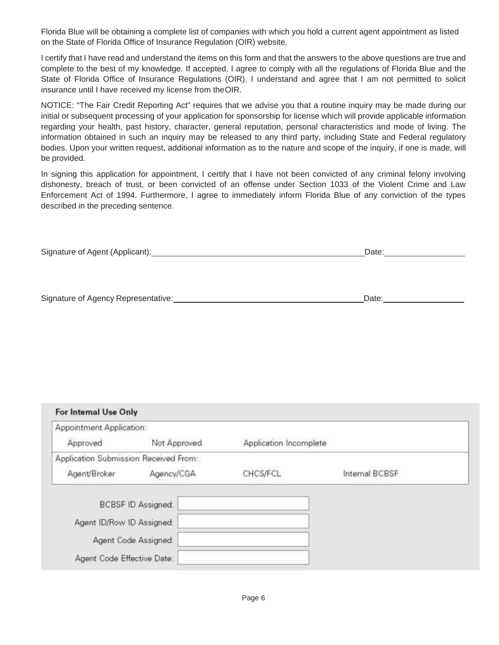Florida Blue will be obtaining a complete list of companies with which you hold a current agent appointment as listed on the State of Florida Office of Insurance Regulation (OIR) website.

I certify that I have read and understand the items on this form and that the answers to the above questions are true and complete to the best of my knowledge. If accepted, I agree to comply with all the regulations of Florida Blue and the State of Florida Office of Insurance Regulations (OIR). I understand and agree that I am not permitted to solicit insurance until I have received my license from the OIR.

NOTICE: "The Fair Credit Reporting Act" requires that we advise you that a routine inquiry may be made during our initial or subsequent processing of your application for sponsorship for license which will provide applicable information regarding your health, past history, character, general reputation, personal characteristics and mode of living. The information obtained in such an inquiry may be released to any third party, including State and Federal regulatory bodies. Upon your written request, additional information as to the nature and scope of the inquiry, if one is made, will be provided.

In signing this application for appointment, I certify that I have not been convicted of any criminal felony involving dishonesty, breach of trust, or been convicted of an offense under Section 1033 of the Violent Crime and Law Enforcement Act of 1994. Furthermore, I agree to immediately inform Florida Blue of any conviction of the types described in the preceding sentence.

| Signature of Agent (Applicant): | )ate |
|---------------------------------|------|
|---------------------------------|------|

| Signature of Agency Representative: | Date |  |
|-------------------------------------|------|--|
|                                     |      |  |

| For Internal Use Only                                  |              |                        |                |
|--------------------------------------------------------|--------------|------------------------|----------------|
| Appointment Application:                               |              |                        |                |
| Approved                                               | Not Approved | Application Incomplete |                |
| Application Submission Received From:                  |              |                        |                |
| Agent/Broker                                           | Agency/CGA   | CHCS/FCL               | Internal BCBSF |
| <b>BCBSF ID Assigned:</b><br>Agent ID/Row ID Assigned: |              |                        |                |
| Agent Code Assigned:                                   |              |                        |                |
| Agent Code Effective Date:                             |              |                        |                |